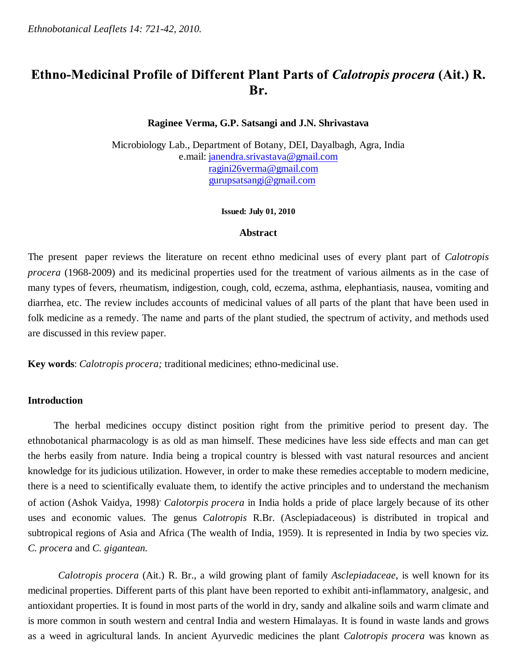# Ethno-Medicinal Profile of Different Plant Parts of Calotropis procera (Ait.) R. Br.

**Raginee Verma, G.P. Satsangi and J.N. Shrivastava**

Microbiology Lab., Department of Botany, DEI, Dayalbagh, Agra, India e.mail: janendra.srivastava@gmail.com ragini26verma@gmail.com gurupsatsangi@gmail.com

**Issued: July 01, 2010**

#### **Abstract**

The present paper reviews the literature on recent ethno medicinal uses of every plant part of *Calotropis procera* (1968-2009) and its medicinal properties used for the treatment of various ailments as in the case of many types of fevers, rheumatism, indigestion, cough, cold, eczema, asthma, elephantiasis, nausea, vomiting and diarrhea, etc. The review includes accounts of medicinal values of all parts of the plant that have been used in folk medicine as a remedy. The name and parts of the plant studied, the spectrum of activity, and methods used are discussed in this review paper.

**Key words**: *Calotropis procera;* traditional medicines; ethno-medicinal use.

### **Introduction**

 The herbal medicines occupy distinct position right from the primitive period to present day. The ethnobotanical pharmacology is as old as man himself. These medicines have less side effects and man can get the herbs easily from nature. India being a tropical country is blessed with vast natural resources and ancient knowledge for its judicious utilization. However, in order to make these remedies acceptable to modern medicine, there is a need to scientifically evaluate them, to identify the active principles and to understand the mechanism of action (Ashok Vaidya, 1998). *Calotorpis procera* in India holds a pride of place largely because of its other uses and economic values. The genus *Calotropis* R.Br. (Asclepiadaceous) is distributed in tropical and subtropical regions of Asia and Africa (The wealth of India, 1959). It is represented in India by two species viz. *C. procera* and *C. gigantean.*

*Calotropis procera* (Ait.) R. Br., a wild growing plant of family *Asclepiadaceae*, is well known for its medicinal properties. Different parts of this plant have been reported to exhibit anti-inflammatory, analgesic, and antioxidant properties. It is found in most parts of the world in dry, sandy and alkaline soils and warm climate and is more common in south western and central India and western Himalayas. It is found in waste lands and grows as a weed in agricultural lands. In ancient Ayurvedic medicines the plant *Calotropis procera* was known as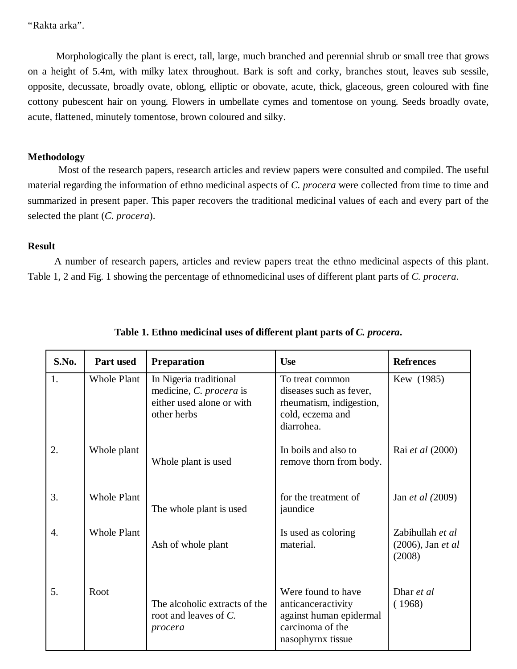"Rakta arka".

 Morphologically the plant is erect, tall, large, much branched and perennial shrub or small tree that grows on a height of 5.4m, with milky latex throughout. Bark is soft and corky, branches stout, leaves sub sessile, opposite, decussate, broadly ovate, oblong, elliptic or obovate, acute, thick, glaceous, green coloured with fine cottony pubescent hair on young. Flowers in umbellate cymes and tomentose on young. Seeds broadly ovate, acute, flattened, minutely tomentose, brown coloured and silky.

## **Methodology**

 Most of the research papers, research articles and review papers were consulted and compiled. The useful material regarding the information of ethno medicinal aspects of *C. procera* were collected from time to time and summarized in present paper. This paper recovers the traditional medicinal values of each and every part of the selected the plant (*C. procera*).

## **Result**

 A number of research papers, articles and review papers treat the ethno medicinal aspects of this plant. Table 1, 2 and Fig. 1 showing the percentage of ethnomedicinal uses of different plant parts of *C. procera*.

| S.No.            | Part used          | <b>Preparation</b>                                                                            | <b>Use</b>                                                                                                   | <b>Refrences</b>                                   |
|------------------|--------------------|-----------------------------------------------------------------------------------------------|--------------------------------------------------------------------------------------------------------------|----------------------------------------------------|
| 1.               | <b>Whole Plant</b> | In Nigeria traditional<br>medicine, C. procera is<br>either used alone or with<br>other herbs | To treat common<br>diseases such as fever,<br>rheumatism, indigestion,<br>cold, eczema and<br>diarrohea.     | Kew (1985)                                         |
| 2.               | Whole plant        | Whole plant is used                                                                           | In boils and also to<br>remove thorn from body.                                                              | Rai et al (2000)                                   |
| 3.               | <b>Whole Plant</b> | The whole plant is used                                                                       | for the treatment of<br>jaundice                                                                             | Jan <i>et al</i> (2009)                            |
| $\overline{4}$ . | <b>Whole Plant</b> | Ash of whole plant                                                                            | Is used as coloring<br>material.                                                                             | Zabihullah et al<br>$(2006)$ , Jan et al<br>(2008) |
| 5.               | Root               | The alcoholic extracts of the<br>root and leaves of C.<br>procera                             | Were found to have<br>anticanceractivity<br>against human epidermal<br>carcinoma of the<br>nasophyrnx tissue | Dhar et al<br>(1968)                               |

## **Table 1. Ethno medicinal uses of different plant parts of** *C. procera***.**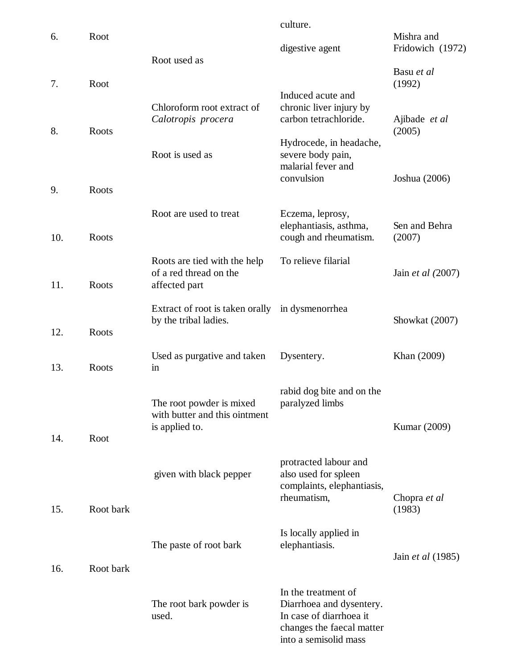|     |           |                                                                             | culture.                                                                                                                         |                                |
|-----|-----------|-----------------------------------------------------------------------------|----------------------------------------------------------------------------------------------------------------------------------|--------------------------------|
| 6.  | Root      |                                                                             | digestive agent                                                                                                                  | Mishra and<br>Fridowich (1972) |
| 7.  | Root      | Root used as                                                                |                                                                                                                                  | Basu et al<br>(1992)           |
| 8.  | Roots     | Chloroform root extract of<br>Calotropis procera                            | Induced acute and<br>chronic liver injury by<br>carbon tetrachloride.                                                            | Ajibade et al<br>(2005)        |
|     |           | Root is used as                                                             | Hydrocede, in headache,<br>severe body pain,<br>malarial fever and<br>convulsion                                                 |                                |
| 9.  | Roots     |                                                                             |                                                                                                                                  | Joshua (2006)                  |
| 10. | Roots     | Root are used to treat                                                      | Eczema, leprosy,<br>elephantiasis, asthma,<br>cough and rheumatism.                                                              | Sen and Behra<br>(2007)        |
| 11. | Roots     | Roots are tied with the help<br>of a red thread on the<br>affected part     | To relieve filarial                                                                                                              | Jain et al $(2007)$            |
| 12. | Roots     | Extract of root is taken orally<br>by the tribal ladies.                    | in dysmenorrhea                                                                                                                  | Showkat (2007)                 |
| 13. | Roots     | Used as purgative and taken<br>in                                           | Dysentery.                                                                                                                       | Khan (2009)                    |
| 14. | Root      | The root powder is mixed<br>with butter and this ointment<br>is applied to. | rabid dog bite and on the<br>paralyzed limbs                                                                                     | Kumar (2009)                   |
|     |           | given with black pepper                                                     | protracted labour and<br>also used for spleen<br>complaints, elephantiasis,<br>rheumatism,                                       | Chopra et al                   |
| 15. | Root bark |                                                                             |                                                                                                                                  | (1983)                         |
|     |           | The paste of root bark                                                      | Is locally applied in<br>elephantiasis.                                                                                          | Jain <i>et al</i> (1985)       |
| 16. | Root bark |                                                                             |                                                                                                                                  |                                |
|     |           | The root bark powder is<br>used.                                            | In the treatment of<br>Diarrhoea and dysentery.<br>In case of diarrhoea it<br>changes the faecal matter<br>into a semisolid mass |                                |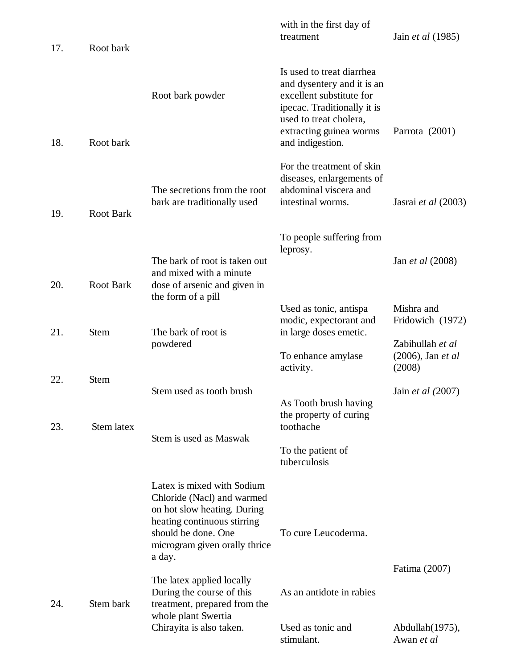| 17. | Root bark        |                                                                                                                                                                                          | with in the first day of<br>treatment                                                                                                                                                       | Jain et al (1985)                                                       |
|-----|------------------|------------------------------------------------------------------------------------------------------------------------------------------------------------------------------------------|---------------------------------------------------------------------------------------------------------------------------------------------------------------------------------------------|-------------------------------------------------------------------------|
| 18. | Root bark        | Root bark powder                                                                                                                                                                         | Is used to treat diarrhea<br>and dysentery and it is an<br>excellent substitute for<br>ipecac. Traditionally it is<br>used to treat cholera,<br>extracting guinea worms<br>and indigestion. | Parrota $(2001)$                                                        |
| 19. | <b>Root Bark</b> | The secretions from the root<br>bark are traditionally used                                                                                                                              | For the treatment of skin<br>diseases, enlargements of<br>abdominal viscera and<br>intestinal worms.                                                                                        | Jasrai et al (2003)                                                     |
| 20. | <b>Root Bark</b> | The bark of root is taken out<br>and mixed with a minute<br>dose of arsenic and given in<br>the form of a pill                                                                           | To people suffering from<br>leprosy.                                                                                                                                                        | Jan et al (2008)                                                        |
| 21. | <b>Stem</b>      | The bark of root is<br>powdered                                                                                                                                                          | Used as tonic, antispa<br>modic, expectorant and<br>in large doses emetic.<br>To enhance amylase                                                                                            | Mishra and<br>Fridowich (1972)<br>Zabihullah et al<br>(2006), Jan et al |
| 22. | <b>Stem</b>      | Stem used as tooth brush                                                                                                                                                                 | activity.<br>As Tooth brush having<br>the property of curing                                                                                                                                | (2008)<br>Jain et al (2007)                                             |
| 23. | Stem latex       | Stem is used as Maswak                                                                                                                                                                   | toothache<br>To the patient of<br>tuberculosis                                                                                                                                              |                                                                         |
|     |                  | Latex is mixed with Sodium<br>Chloride (Nacl) and warmed<br>on hot slow heating. During<br>heating continuous stirring<br>should be done. One<br>microgram given orally thrice<br>a day. | To cure Leucoderma.                                                                                                                                                                         |                                                                         |
| 24. | Stem bark        | The latex applied locally<br>During the course of this<br>treatment, prepared from the                                                                                                   | As an antidote in rabies                                                                                                                                                                    | Fatima (2007)                                                           |
|     |                  | whole plant Swertia<br>Chirayita is also taken.                                                                                                                                          | Used as tonic and<br>stimulant.                                                                                                                                                             | Abdullah(1975),<br>Awan et al                                           |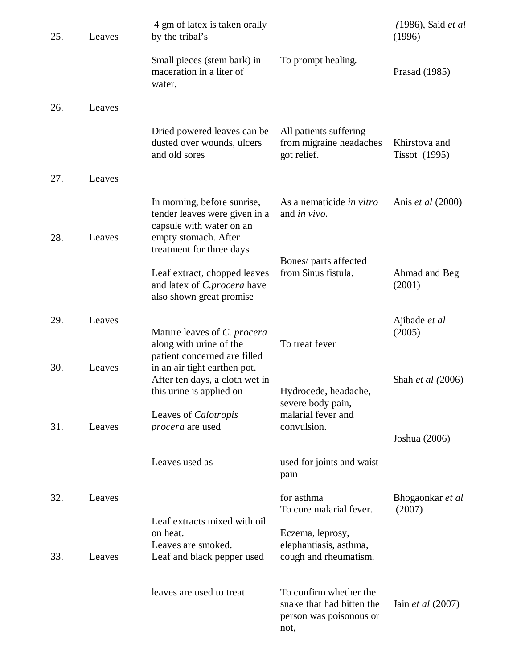| 25. | Leaves | 4 gm of latex is taken orally<br>by the tribal's                                                                                             |                                                                                        | $(1986)$ , Said et al<br>(1996)       |
|-----|--------|----------------------------------------------------------------------------------------------------------------------------------------------|----------------------------------------------------------------------------------------|---------------------------------------|
|     |        | Small pieces (stem bark) in<br>maceration in a liter of<br>water,                                                                            | To prompt healing.                                                                     | Prasad (1985)                         |
| 26. | Leaves |                                                                                                                                              |                                                                                        |                                       |
|     |        | Dried powered leaves can be<br>dusted over wounds, ulcers<br>and old sores                                                                   | All patients suffering<br>from migraine headaches<br>got relief.                       | Khirstova and<br><b>Tissot</b> (1995) |
| 27. | Leaves |                                                                                                                                              |                                                                                        |                                       |
| 28. | Leaves | In morning, before sunrise,<br>tender leaves were given in a<br>capsule with water on an<br>empty stomach. After<br>treatment for three days | As a nematicide in vitro<br>and <i>in vivo</i> .                                       | Anis <i>et al</i> (2000)              |
|     |        | Leaf extract, chopped leaves<br>and latex of <i>C.procera</i> have<br>also shown great promise                                               | Bones/ parts affected<br>from Sinus fistula.                                           | Ahmad and Beg<br>(2001)               |
| 29. | Leaves | Mature leaves of C. procera<br>along with urine of the<br>patient concerned are filled                                                       | To treat fever                                                                         | Ajibade et al<br>(2005)               |
| 30. | Leaves | in an air tight earthen pot.<br>After ten days, a cloth wet in<br>this urine is applied on                                                   | Hydrocede, headache,<br>severe body pain,                                              | Shah <i>et al</i> (2006)              |
| 31. | Leaves | Leaves of <i>Calotropis</i><br><i>procera</i> are used                                                                                       | malarial fever and<br>convulsion.                                                      |                                       |
|     |        |                                                                                                                                              |                                                                                        | Joshua (2006)                         |
|     |        | Leaves used as                                                                                                                               | used for joints and waist<br>pain                                                      |                                       |
| 32. | Leaves |                                                                                                                                              | for asthma<br>To cure malarial fever.                                                  | Bhogaonkar et al<br>(2007)            |
| 33. | Leaves | Leaf extracts mixed with oil<br>on heat.<br>Leaves are smoked.<br>Leaf and black pepper used                                                 | Eczema, leprosy,<br>elephantiasis, asthma,<br>cough and rheumatism.                    |                                       |
|     |        | leaves are used to treat                                                                                                                     | To confirm whether the<br>snake that had bitten the<br>person was poisonous or<br>not, | Jain <i>et al</i> $(2007)$            |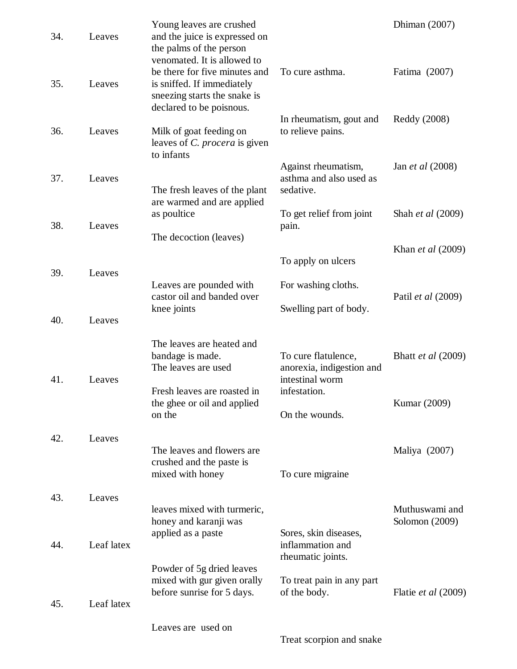| 34. | Leaves     | Young leaves are crushed<br>and the juice is expressed on<br>the palms of the person<br>venomated. It is allowed to     |                                                                                     | Dhiman $(2007)$                    |
|-----|------------|-------------------------------------------------------------------------------------------------------------------------|-------------------------------------------------------------------------------------|------------------------------------|
| 35. | Leaves     | be there for five minutes and<br>is sniffed. If immediately<br>sneezing starts the snake is<br>declared to be poisnous. | To cure asthma.                                                                     | Fatima (2007)                      |
| 36. | Leaves     | Milk of goat feeding on<br>leaves of <i>C. procera</i> is given<br>to infants                                           | In rheumatism, gout and<br>to relieve pains.                                        | Reddy (2008)                       |
| 37. | Leaves     | The fresh leaves of the plant<br>are warmed and are applied                                                             | Against rheumatism,<br>asthma and also used as<br>sedative.                         | Jan <i>et al</i> (2008)            |
| 38. | Leaves     | as poultice<br>The decoction (leaves)                                                                                   | To get relief from joint<br>pain.                                                   | Shah <i>et al</i> (2009)           |
| 39. | Leaves     |                                                                                                                         | To apply on ulcers                                                                  | Khan <i>et al</i> (2009)           |
|     |            | Leaves are pounded with<br>castor oil and banded over<br>knee joints                                                    | For washing cloths.<br>Swelling part of body.                                       | Patil <i>et al</i> (2009)          |
| 40. | Leaves     |                                                                                                                         |                                                                                     |                                    |
| 41. | Leaves     | The leaves are heated and<br>bandage is made.<br>The leaves are used<br>Fresh leaves are roasted in                     | To cure flatulence,<br>anorexia, indigestion and<br>intestinal worm<br>infestation. | <b>Bhatt et al (2009)</b>          |
|     |            | the ghee or oil and applied<br>on the                                                                                   | On the wounds.                                                                      | Kumar (2009)                       |
| 42. | Leaves     | The leaves and flowers are.<br>crushed and the paste is<br>mixed with honey                                             | To cure migraine                                                                    | Maliya (2007)                      |
| 43. | Leaves     | leaves mixed with turmeric,<br>honey and karanji was                                                                    |                                                                                     | Muthuswami and<br>Solomon $(2009)$ |
| 44. | Leaf latex | applied as a paste                                                                                                      | Sores, skin diseases,<br>inflammation and<br>rheumatic joints.                      |                                    |
| 45. | Leaf latex | Powder of 5g dried leaves<br>mixed with gur given orally<br>before sunrise for 5 days.                                  | To treat pain in any part<br>of the body.                                           | Flatie et al (2009)                |
|     |            | Leaves are used on                                                                                                      |                                                                                     |                                    |

Treat scorpion and snake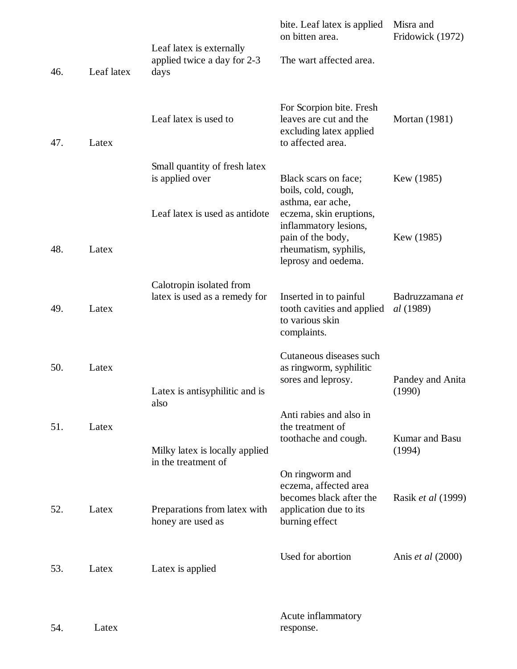|     |            | Leaf latex is externally                                                           | bite. Leaf latex is applied<br>on bitten area.                                                                  | Misra and<br>Fridowick (1972) |
|-----|------------|------------------------------------------------------------------------------------|-----------------------------------------------------------------------------------------------------------------|-------------------------------|
| 46. | Leaf latex | applied twice a day for 2-3<br>days                                                | The wart affected area.                                                                                         |                               |
| 47. | Latex      | Leaf latex is used to                                                              | For Scorpion bite. Fresh<br>leaves are cut and the<br>excluding latex applied<br>to affected area.              | <b>Mortan</b> (1981)          |
|     |            | Small quantity of fresh latex<br>is applied over<br>Leaf latex is used as antidote | Black scars on face;<br>boils, cold, cough,<br>asthma, ear ache,<br>eczema, skin eruptions,                     | Kew (1985)                    |
| 48. | Latex      |                                                                                    | inflammatory lesions,<br>pain of the body,<br>rheumatism, syphilis,<br>leprosy and oedema.                      | Kew (1985)                    |
| 49. | Latex      | Calotropin isolated from<br>latex is used as a remedy for                          | Inserted in to painful<br>tooth cavities and applied<br>to various skin<br>complaints.                          | Badruzzamana et<br>al (1989)  |
| 50. | Latex      | Latex is antisyphilitic and is<br>also                                             | Cutaneous diseases such<br>as ringworm, syphilitic<br>sores and leprosy.                                        | Pandey and Anita<br>(1990)    |
| 51. | Latex      | Milky latex is locally applied<br>in the treatment of                              | Anti rabies and also in<br>the treatment of<br>toothache and cough.                                             | Kumar and Basu<br>(1994)      |
| 52. | Latex      | Preparations from latex with<br>honey are used as                                  | On ringworm and<br>eczema, affected area<br>becomes black after the<br>application due to its<br>burning effect | Rasik et al (1999)            |
| 53. | Latex      | Latex is applied                                                                   | Used for abortion                                                                                               | Anis <i>et al</i> (2000)      |
| 54. | Latex      |                                                                                    | Acute inflammatory<br>response.                                                                                 |                               |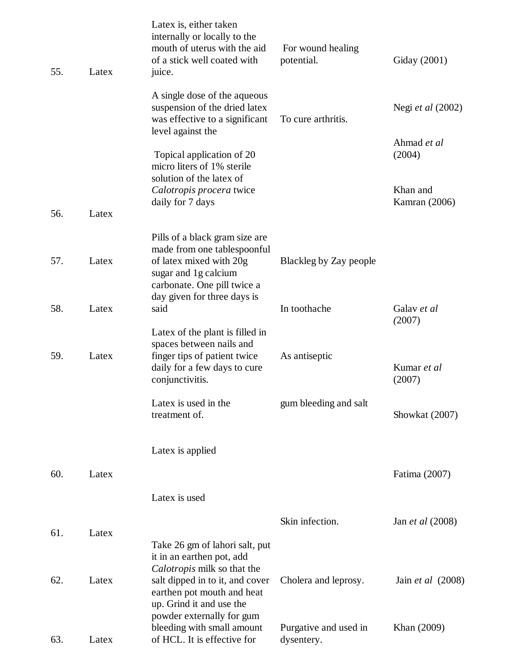| 55. | Latex | Latex is, either taken<br>internally or locally to the<br>mouth of uterus with the aid<br>of a stick well coated with<br>juice.                 | For wound healing<br>potential.     | Giday (2001)                     |
|-----|-------|-------------------------------------------------------------------------------------------------------------------------------------------------|-------------------------------------|----------------------------------|
|     |       | A single dose of the aqueous<br>suspension of the dried latex<br>was effective to a significant<br>level against the                            | To cure arthritis.                  | Negi <i>et al</i> (2002)         |
|     |       | Topical application of 20<br>micro liters of 1% sterile                                                                                         |                                     | Ahmad et al<br>(2004)            |
| 56. | Latex | solution of the latex of<br>Calotropis procera twice<br>daily for 7 days                                                                        |                                     | Khan and<br><b>Kamran</b> (2006) |
|     |       |                                                                                                                                                 |                                     |                                  |
| 57. | Latex | Pills of a black gram size are<br>made from one tablespoonful<br>of latex mixed with 20g<br>sugar and 1g calcium<br>carbonate. One pill twice a | Blackleg by Zay people              |                                  |
| 58. | Latex | day given for three days is<br>said                                                                                                             | In toothache                        | Galav et al<br>(2007)            |
| 59. | Latex | Latex of the plant is filled in<br>spaces between nails and<br>finger tips of patient twice<br>daily for a few days to cure<br>conjunctivitis.  | As antiseptic                       | Kumar et al<br>(2007)            |
|     |       | Latex is used in the<br>treatment of.                                                                                                           | gum bleeding and salt               | Showkat (2007)                   |
|     |       | Latex is applied                                                                                                                                |                                     |                                  |
| 60. | Latex |                                                                                                                                                 |                                     | Fatima (2007)                    |
|     |       | Latex is used                                                                                                                                   |                                     |                                  |
|     |       |                                                                                                                                                 | Skin infection.                     | Jan <i>et al</i> (2008)          |
| 61. | Latex | Take 26 gm of lahori salt, put<br>it in an earthen pot, add                                                                                     |                                     |                                  |
| 62. | Latex | Calotropis milk so that the<br>salt dipped in to it, and cover<br>earthen pot mouth and heat<br>up. Grind it and use the                        | Cholera and leprosy.                | Jain et al $(2008)$              |
| 63. | Latex | powder externally for gum<br>bleeding with small amount<br>of HCL. It is effective for                                                          | Purgative and used in<br>dysentery. | Khan (2009)                      |
|     |       |                                                                                                                                                 |                                     |                                  |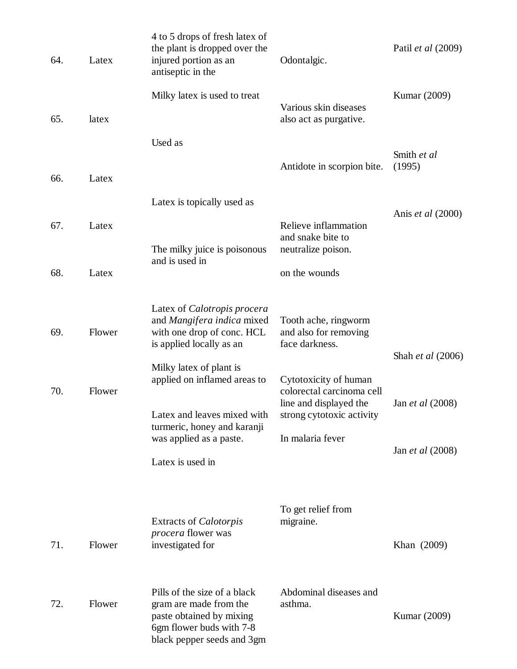| Latex  | 4 to 5 drops of fresh latex of<br>the plant is dropped over the<br>injured portion as an<br>antiseptic in the                                | Odontalgic.                                                     | Patil <i>et al</i> (2009)                    |
|--------|----------------------------------------------------------------------------------------------------------------------------------------------|-----------------------------------------------------------------|----------------------------------------------|
| latex  | Milky latex is used to treat                                                                                                                 | Various skin diseases<br>also act as purgative.                 | Kumar (2009)                                 |
| Latex  | Used as                                                                                                                                      | Antidote in scorpion bite.                                      | Smith et al<br>(1995)                        |
|        | Latex is topically used as                                                                                                                   |                                                                 |                                              |
| Latex  |                                                                                                                                              | Relieve inflammation<br>and snake bite to                       | Anis et al (2000)                            |
| Latex  | and is used in                                                                                                                               | on the wounds                                                   |                                              |
| Flower | Latex of <i>Calotropis procera</i><br>and Mangifera indica mixed<br>with one drop of conc. HCL<br>is applied locally as an                   | Tooth ache, ringworm<br>and also for removing<br>face darkness. |                                              |
| Flower | Milky latex of plant is<br>applied on inflamed areas to                                                                                      | Cytotoxicity of human<br>colorectal carcinoma cell              | Shah et al (2006)<br>Jan <i>et al</i> (2008) |
|        | Latex and leaves mixed with                                                                                                                  | strong cytotoxic activity                                       |                                              |
|        | was applied as a paste.<br>Latex is used in                                                                                                  | In malaria fever                                                | Jan et al (2008)                             |
| Flower | <b>Extracts of Calotorpis</b><br><i>procera</i> flower was<br>investigated for                                                               | To get relief from<br>migraine.                                 | Khan (2009)                                  |
| Flower | Pills of the size of a black<br>gram are made from the<br>paste obtained by mixing<br>6gm flower buds with 7-8<br>black pepper seeds and 3gm | Abdominal diseases and<br>asthma.                               | Kumar (2009)                                 |
|        |                                                                                                                                              | The milky juice is poisonous<br>turmeric, honey and karanji     | neutralize poison.<br>line and displayed the |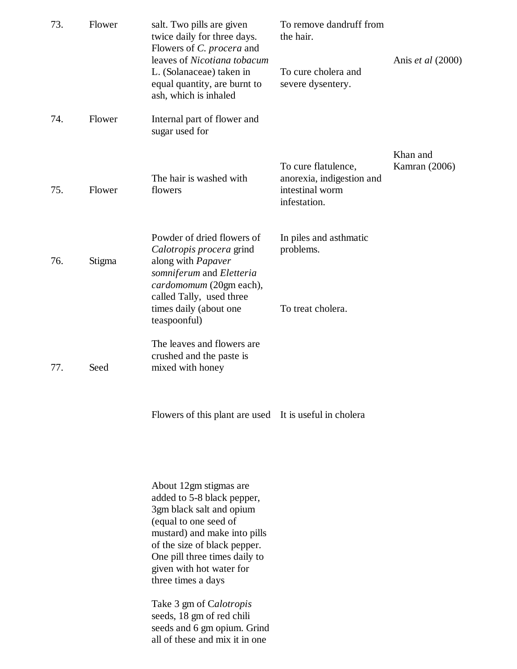| 73. | Flower | salt. Two pills are given<br>twice daily for three days.<br>Flowers of C. procera and<br>leaves of Nicotiana tobacum<br>L. (Solanaceae) taken in<br>equal quantity, are burnt to<br>ash, which is inhaled                                                                                                                                                                             | To remove dandruff from<br>the hair.<br>To cure cholera and<br>severe dysentery.    | Anis et al (2000)         |
|-----|--------|---------------------------------------------------------------------------------------------------------------------------------------------------------------------------------------------------------------------------------------------------------------------------------------------------------------------------------------------------------------------------------------|-------------------------------------------------------------------------------------|---------------------------|
| 74. | Flower | Internal part of flower and<br>sugar used for                                                                                                                                                                                                                                                                                                                                         |                                                                                     |                           |
| 75. | Flower | The hair is washed with<br>flowers                                                                                                                                                                                                                                                                                                                                                    | To cure flatulence,<br>anorexia, indigestion and<br>intestinal worm<br>infestation. | Khan and<br>Kamran (2006) |
| 76. | Stigma | Powder of dried flowers of<br>Calotropis procera grind<br>along with Papaver<br>somniferum and Eletteria<br>cardomomum (20gm each),<br>called Tally, used three<br>times daily (about one<br>teaspoonful)                                                                                                                                                                             | In piles and asthmatic<br>problems.<br>To treat cholera.                            |                           |
| 77. | Seed   | The leaves and flowers are<br>crushed and the paste is<br>mixed with honey                                                                                                                                                                                                                                                                                                            |                                                                                     |                           |
|     |        | Flowers of this plant are used It is useful in cholera                                                                                                                                                                                                                                                                                                                                |                                                                                     |                           |
|     |        | About 12gm stigmas are<br>added to 5-8 black pepper,<br>3gm black salt and opium<br>(equal to one seed of<br>mustard) and make into pills<br>of the size of black pepper.<br>One pill three times daily to<br>given with hot water for<br>three times a days<br>Take 3 gm of Calotropis<br>seeds, 18 gm of red chili<br>seeds and 6 gm opium. Grind<br>all of these and mix it in one |                                                                                     |                           |
|     |        |                                                                                                                                                                                                                                                                                                                                                                                       |                                                                                     |                           |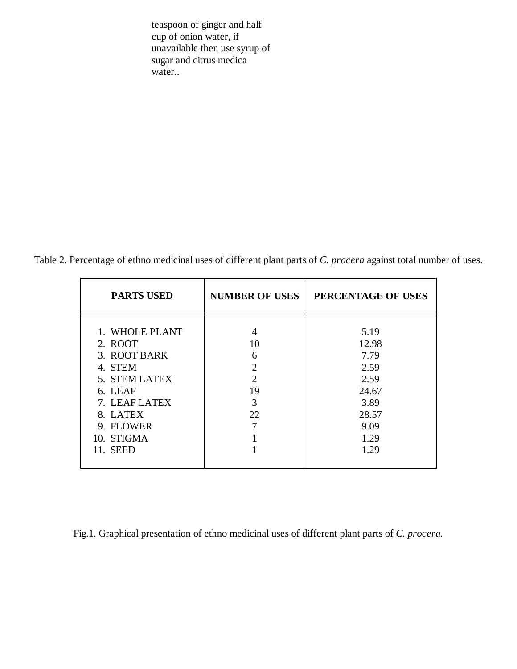teaspoon of ginger and half cup of onion water, if unavailable then use syrup of sugar and citrus medica water..

Table 2. Percentage of ethno medicinal uses of different plant parts of *C. procera* against total number of uses.

| <b>PARTS USED</b> | <b>NUMBER OF USES</b>       | PERCENTAGE OF USES |
|-------------------|-----------------------------|--------------------|
|                   |                             |                    |
| 1. WHOLE PLANT    | 4                           | 5.19               |
| 2. ROOT           | 10                          | 12.98              |
| 3. ROOT BARK      | 6                           | 7.79               |
| 4. STEM           | 2                           | 2.59               |
| 5. STEM LATEX     | $\mathcal{D}_{\mathcal{L}}$ | 2.59               |
| 6. LEAF           | 19                          | 24.67              |
| 7. LEAFLATEX      | 3                           | 3.89               |
| 8. LATEX          | 22                          | 28.57              |
| 9. FLOWER         |                             | 9.09               |
| 10. STIGMA        |                             | 1.29               |
| 11. SEED          |                             | 1.29               |
|                   |                             |                    |

Fig.1. Graphical presentation of ethno medicinal uses of different plant parts of *C. procera.*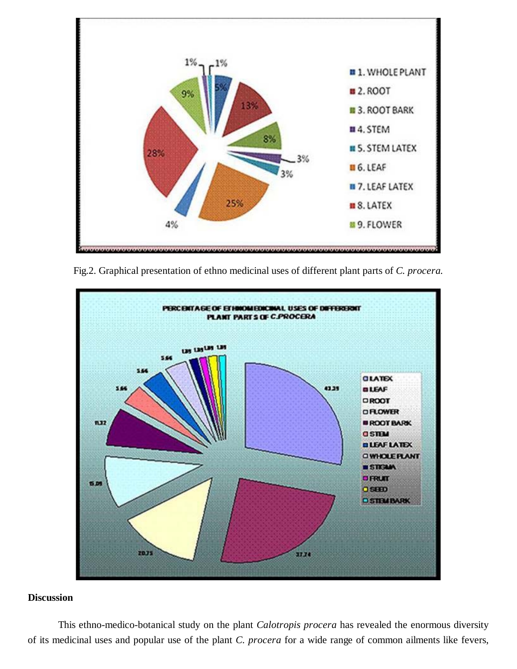

Fig.2. Graphical presentation of ethno medicinal uses of different plant parts of *C. procera.*



#### **Discussion**

This ethno-medico-botanical study on the plant *Calotropis procera* has revealed the enormous diversity of its medicinal uses and popular use of the plant *C. procera* for a wide range of common ailments like fevers,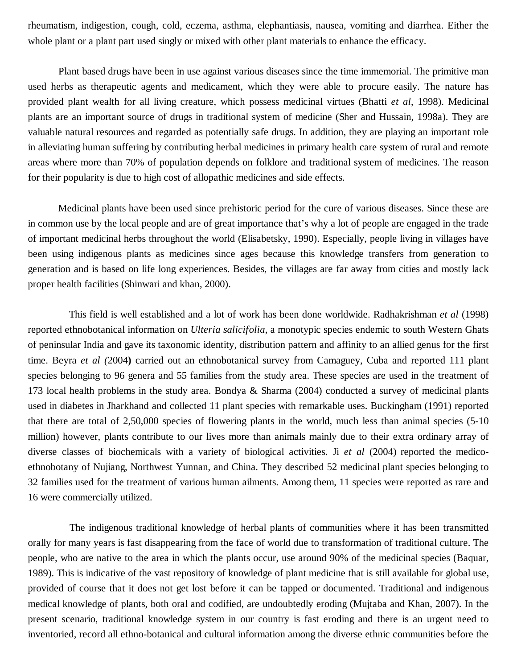rheumatism, indigestion, cough, cold, eczema, asthma, elephantiasis, nausea, vomiting and diarrhea. Either the whole plant or a plant part used singly or mixed with other plant materials to enhance the efficacy.

 Plant based drugs have been in use against various diseases since the time immemorial. The primitive man used herbs as therapeutic agents and medicament, which they were able to procure easily. The nature has provided plant wealth for all living creature, which possess medicinal virtues (Bhatti *et al*, 1998). Medicinal plants are an important source of drugs in traditional system of medicine (Sher and Hussain, 1998a). They are valuable natural resources and regarded as potentially safe drugs. In addition, they are playing an important role in alleviating human suffering by contributing herbal medicines in primary health care system of rural and remote areas where more than 70% of population depends on folklore and traditional system of medicines. The reason for their popularity is due to high cost of allopathic medicines and side effects.

Medicinal plants have been used since prehistoric period for the cure of various diseases. Since these are in common use by the local people and are of great importance that's why a lot of people are engaged in the trade of important medicinal herbs throughout the world (Elisabetsky, 1990). Especially, people living in villages have been using indigenous plants as medicines since ages because this knowledge transfers from generation to generation and is based on life long experiences. Besides, the villages are far away from cities and mostly lack proper health facilities (Shinwari and khan, 2000).

 This field is well established and a lot of work has been done worldwide. Radhakrishman *et al* (1998) reported ethnobotanical information on *Ulteria salicifolia*, a monotypic species endemic to south Western Ghats of peninsular India and gave its taxonomic identity, distribution pattern and affinity to an allied genus for the first time. Beyra *et al (*2004**)** carried out an ethnobotanical survey from Camaguey, Cuba and reported 111 plant species belonging to 96 genera and 55 families from the study area. These species are used in the treatment of 173 local health problems in the study area. Bondya & Sharma (2004) conducted a survey of medicinal plants used in diabetes in Jharkhand and collected 11 plant species with remarkable uses. Buckingham (1991) reported that there are total of 2,50,000 species of flowering plants in the world, much less than animal species (5-10 million) however, plants contribute to our lives more than animals mainly due to their extra ordinary array of diverse classes of biochemicals with a variety of biological activities. Ji *et al* (2004) reported the medicoethnobotany of Nujiang, Northwest Yunnan, and China. They described 52 medicinal plant species belonging to 32 families used for the treatment of various human ailments. Among them, 11 species were reported as rare and 16 were commercially utilized.

 The indigenous traditional knowledge of herbal plants of communities where it has been transmitted orally for many years is fast disappearing from the face of world due to transformation of traditional culture. The people, who are native to the area in which the plants occur, use around 90% of the medicinal species (Baquar, 1989). This is indicative of the vast repository of knowledge of plant medicine that is still available for global use, provided of course that it does not get lost before it can be tapped or documented. Traditional and indigenous medical knowledge of plants, both oral and codified, are undoubtedly eroding (Mujtaba and Khan, 2007). In the present scenario, traditional knowledge system in our country is fast eroding and there is an urgent need to inventoried, record all ethno-botanical and cultural information among the diverse ethnic communities before the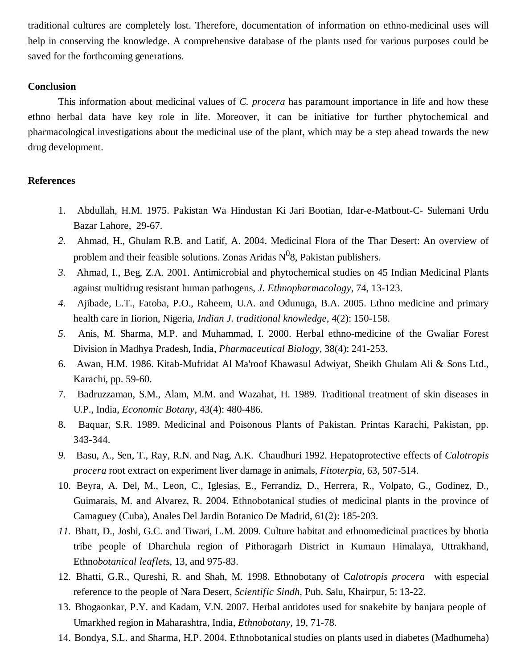traditional cultures are completely lost. Therefore, documentation of information on ethno-medicinal uses will help in conserving the knowledge. A comprehensive database of the plants used for various purposes could be saved for the forthcoming generations.

### **Conclusion**

This information about medicinal values of *C. procera* has paramount importance in life and how these ethno herbal data have key role in life. Moreover, it can be initiative for further phytochemical and pharmacological investigations about the medicinal use of the plant, which may be a step ahead towards the new drug development.

#### **References**

- 1. Abdullah, H.M. 1975. Pakistan Wa Hindustan Ki Jari Bootian, Idar-e-Matbout-C- Sulemani Urdu Bazar Lahore, 29-67.
- *2.* Ahmad, H., Ghulam R.B. and Latif, A. 2004. Medicinal Flora of the Thar Desert: An overview of problem and their feasible solutions. Zonas Aridas  $N^0$ 8, Pakistan publishers.
- *3.* Ahmad, I., Beg, Z.A. 2001. Antimicrobial and phytochemical studies on 45 Indian Medicinal Plants against multidrug resistant human pathogens, *J. Ethnopharmacology*, 74, 13-123.
- *4.* Ajibade, L.T., Fatoba, P.O., Raheem, U.A. and Odunuga, B.A. 2005. Ethno medicine and primary health care in Iiorion, Nigeria, *Indian J. traditional knowledge*, 4(2): 150-158.
- *5.* Anis, M. Sharma, M.P. and Muhammad, I. 2000. Herbal ethno-medicine of the Gwaliar Forest Division in Madhya Pradesh, India, *Pharmaceutical Biology,* 38(4): 241-253.
- 6. Awan, H.M. 1986. Kitab-Mufridat Al Ma'roof Khawasul Adwiyat, Sheikh Ghulam Ali & Sons Ltd., Karachi, pp. 59-60.
- 7. Badruzzaman, S.M., Alam, M.M. and Wazahat, H. 1989. Traditional treatment of skin diseases in U.P., India, *Economic Botany*, 43(4): 480-486.
- 8. Baquar, S.R. 1989. Medicinal and Poisonous Plants of Pakistan. Printas Karachi, Pakistan, pp. 343-344.
- *9.* Basu, A., Sen, T., Ray, R.N. and Nag, A.K. Chaudhuri 1992. Hepatoprotective effects of *Calotropis procera* root extract on experiment liver damage in animals, *Fitoterpia*, 63, 507-514.
- 10. Beyra, A. Del, M., Leon, C., Iglesias, E., Ferrandiz, D., Herrera, R., Volpato, G., Godinez, D., Guimarais, M. and Alvarez, R. 2004. Ethnobotanical studies of medicinal plants in the province of Camaguey (Cuba), Anales Del Jardin Botanico De Madrid, 61(2): 185-203.
- *11.* Bhatt, D., Joshi, G.C. and Tiwari, L.M. 2009. Culture habitat and ethnomedicinal practices by bhotia tribe people of Dharchula region of Pithoragarh District in Kumaun Himalaya, Uttrakhand, Ethno*botanical leaflets*, 13, and 975-83.
- 12. Bhatti, G.R., Qureshi, R. and Shah, M. 1998. Ethnobotany of C*alotropis procera* with especial reference to the people of Nara Desert, *Scientific Sindh,* Pub. Salu, Khairpur, 5: 13-22.
- 13. Bhogaonkar, P.Y. and Kadam, V.N. 2007. Herbal antidotes used for snakebite by banjara people of Umarkhed region in Maharashtra, India, *Ethnobotany,* 19, 71-78.
- 14. Bondya, S.L. and Sharma, H.P. 2004. Ethnobotanical studies on plants used in diabetes (Madhumeha)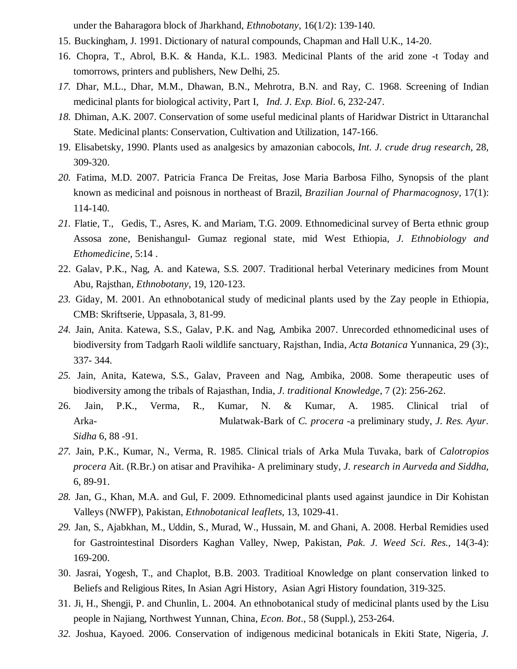under the Baharagora block of Jharkhand, *Ethnobotany,* 16(1/2): 139-140.

- 15. Buckingham, J. 1991. Dictionary of natural compounds, Chapman and Hall U.K., 14-20.
- 16. Chopra, T., Abrol, B.K. & Handa, K.L. 1983. Medicinal Plants of the arid zone -t Today and tomorrows, printers and publishers, New Delhi, 25.
- *17.* Dhar, M.L., Dhar, M.M., Dhawan, B.N., Mehrotra, B.N. and Ray, C. 1968. Screening of Indian medicinal plants for biological activity, Part I, *Ind. J. Exp. Biol*. 6, 232-247.
- *18.* Dhiman, A.K. 2007. Conservation of some useful medicinal plants of Haridwar District in Uttaranchal State. Medicinal plants: Conservation, Cultivation and Utilization, 147-166.
- 19. Elisabetsky, 1990. Plants used as analgesics by amazonian cabocols, *Int. J. crude drug research,* 28, 309-320.
- *20.* Fatima, M.D. 2007. Patricia Franca De Freitas, Jose Maria Barbosa Filho, Synopsis of the plant known as medicinal and poisnous in northeast of Brazil, *Brazilian Journal of Pharmacognosy,* 17(1): 114-140*.*
- *21.* Flatie, T., Gedis, T., Asres, K. and Mariam, T.G. 2009. Ethnomedicinal survey of Berta ethnic group Assosa zone, Benishangul- Gumaz regional state, mid West Ethiopia, *J. Ethnobiology and Ethomedicine,* 5:14 .
- 22. Galav, P.K., Nag, A. and Katewa, S.S. 2007. Traditional herbal Veterinary medicines from Mount Abu, Rajsthan, *Ethnobotany*, 19, 120-123.
- *23.* Giday, M. 2001. An ethnobotanical study of medicinal plants used by the Zay people in Ethiopia, CMB: Skriftserie, Uppasala, 3, 81-99.
- *24.* Jain, Anita. Katewa, S.S., Galav, P.K. and Nag, Ambika 2007. Unrecorded ethnomedicinal uses of biodiversity from Tadgarh Raoli wildlife sanctuary, Rajsthan, India, *Acta Botanica* Yunnanica, 29 (3):, 337- 344.
- *25.* Jain, Anita, Katewa, S.S., Galav, Praveen and Nag, Ambika, 2008. Some therapeutic uses of biodiversity among the tribals of Rajasthan, India, *J. traditional Knowledge*, 7 (2): 256-262.
- 26. Jain, P.K., Verma, R., Kumar, N. & Kumar, A. 1985. Clinical trial of Arka- Mulatwak-Bark of *C. procera* -a preliminary study, *J. Res. Ayur. Sidha* 6, 88 -91.
- *27.* Jain, P.K., Kumar, N., Verma, R. 1985. Clinical trials of Arka Mula Tuvaka, bark of *Calotropios procera* Ait. (R.Br.) on atisar and Pravihika- A preliminary study, *J. research in Aurveda and Siddha*, 6, 89-91.
- *28.* Jan, G., Khan, M.A. and Gul, F. 2009. Ethnomedicinal plants used against jaundice in Dir Kohistan Valleys (NWFP), Pakistan, *Ethnobotanical leaflets*, 13, 1029-41.
- *29.* Jan, S., Ajabkhan, M., Uddin, S., Murad, W., Hussain, M. and Ghani, A. 2008. Herbal Remidies used for Gastrointestinal Disorders Kaghan Valley, Nwep*,* Pakistan, *Pak. J. Weed Sci. Res.,* 14(3-4): 169-200.
- 30. Jasrai, Yogesh, T., and Chaplot, B.B. 2003. Traditioal Knowledge on plant conservation linked to Beliefs and Religious Rites, In Asian Agri History, Asian Agri History foundation, 319-325.
- 31. Ji, H., Shengji, P. and Chunlin, L. 2004. An ethnobotanical study of medicinal plants used by the Lisu people in Najiang, Northwest Yunnan, China, *Econ. Bot*., 58 (Suppl.), 253-264.
- *32.* Joshua, Kayoed. 2006. Conservation of indigenous medicinal botanicals in Ekiti State, Nigeria, *J.*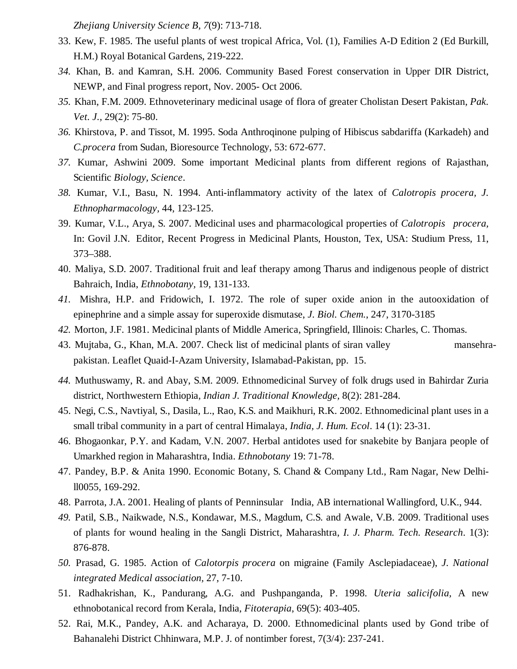*Zhejiang University Science B, 7*(9): 713-718.

- 33. Kew, F. 1985. The useful plants of west tropical Africa, Vol. (1), Families A-D Edition 2 (Ed Burkill, H.M.) Royal Botanical Gardens, 219-222.
- *34.* Khan, B. and Kamran, S.H. 2006. Community Based Forest conservation in Upper DIR District, NEWP, and Final progress report, Nov. 2005- Oct 2006.
- *35.* Khan, F.M. 2009. Ethnoveterinary medicinal usage of flora of greater Cholistan Desert Pakistan, *Pak. Vet. J.,* 29(2): 75-80.
- *36.* Khirstova, P. and Tissot, M. 1995. Soda Anthroqinone pulping of Hibiscus sabdariffa (Karkadeh) and *C.procera* from Sudan, Bioresource Technology, 53: 672-677.
- *37.* Kumar, Ashwini 2009. Some important Medicinal plants from different regions of Rajasthan, Scientific *Biology, Science*.
- *38.* Kumar, V.I., Basu, N. 1994. Anti-inflammatory activity of the latex of *Calotropis procera, J. Ethnopharmacology,* 44, 123-125.
- 39. Kumar, V.L., Arya, S. 2007. Medicinal uses and pharmacological properties of *Calotropis procera,* In: Govil J.N. Editor, Recent Progress in Medicinal Plants, Houston, Tex, USA: Studium Press, 11, 373–388.
- 40. Maliya, S.D. 2007. Traditional fruit and leaf therapy among Tharus and indigenous people of district Bahraich, India, *Ethnobotany,* 19, 131-133.
- *41.* Mishra, H.P. and Fridowich, I. 1972. The role of super oxide anion in the autooxidation of epinephrine and a simple assay for superoxide dismutase, *J. Biol. Chem.*, 247, 3170-3185
- *42.* Morton, J.F. 1981. Medicinal plants of Middle America, Springfield, Illinois: Charles, C. Thomas.
- 43. Mujtaba, G., Khan, M.A. 2007. Check list of medicinal plants of siran valley mansehrapakistan. Leaflet Quaid-I-Azam University, Islamabad-Pakistan, pp. 15.
- *44.* Muthuswamy, R. and Abay, S.M. 2009. Ethnomedicinal Survey of folk drugs used in Bahirdar Zuria district, Northwestern Ethiopia*, Indian J. Traditional Knowledge,* 8(2): 281-284.
- 45. Negi, C.S., Navtiyal, S., Dasila, L., Rao, K.S. and Maikhuri, R.K. 2002. Ethnomedicinal plant uses in a small tribal community in a part of central Himalaya, *India, J. Hum. Ecol*. 14 (1): 23-31.
- 46. Bhogaonkar, P.Y. and Kadam, V.N. 2007. Herbal antidotes used for snakebite by Banjara people of Umarkhed region in Maharashtra, India. *Ethnobotany* 19: 71-78.
- 47. Pandey, B.P. & Anita 1990. Economic Botany, S. Chand & Company Ltd., Ram Nagar, New Delhill0055, 169-292.
- 48. Parrota, J.A. 2001. Healing of plants of Penninsular India, AB international Wallingford, U.K., 944.
- *49.* Patil, S.B., Naikwade, N.S., Kondawar, M.S., Magdum, C.S. and Awale, V.B. 2009. Traditional uses of plants for wound healing in the Sangli District, Maharashtra, *I. J. Pharm. Tech. Research*. 1(3): 876-878.
- *50.* Prasad, G. 1985. Action of *Calotorpis procera* on migraine (Family Asclepiadaceae), *J. National integrated Medical association,* 27, 7-10.
- 51. Radhakrishan, K., Pandurang, A.G. and Pushpanganda, P. 1998. *Uteria salicifolia,* A new ethnobotanical record from Kerala, India, *Fitoterapia*, 69(5): 403-405.
- 52. Rai, M.K., Pandey, A.K. and Acharaya, D. 2000. Ethnomedicinal plants used by Gond tribe of Bahanalehi District Chhinwara, M.P. J. of nontimber forest, 7(3/4): 237-241.